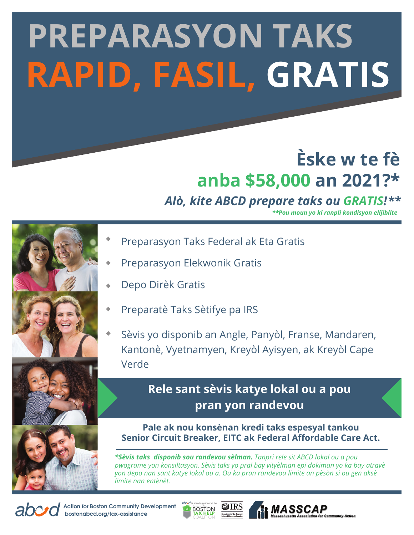# **PREPARASYON TAKS RAPID, FASIL, GRATIS**

## **Èske w te fè anba \$58,000 an 2021?\***

### *Alò, kite ABCD prepare taks ou GRATIS!***\*\***

*\*\*Pou moun yo ki ranpli kondisyon elijiblite* 



- Preparasyon Taks Federal ak Eta Gratis
- Preparasyon Elekwonik Gratis
- Depo Dirèk Gratis
- Preparatè Taks Sètifye pa IRS
- Sèvis yo disponib an Angle, Panyòl, Franse, Mandaren, Kantonè, Vyetnamyen, Kreyòl Ayisyen, ak Kreyòl Cape Verde

#### **Rele sant sèvis katye lokal ou a pou pran yon randevou**

**Pale ak nou konsènan kredi taks espesyal tankou Senior Circuit Breaker, EITC ak Federal Affordable Care Act.**

*\*Sèvis taks disponib sou randevou sèlman. Tanpri rele sit ABCD lokal ou a pou pwograme yon konsiltasyon. Sèvis taks yo pral bay vityèlman epi dokiman yo ka bay atravè yon depo nan sant katye lokal ou a. Ou ka pran randevou limite an pèsòn si ou gen aksè limite nan entènèt.*

**B** MASSCAP



**Action for Boston Community Development bostonabcd.org/tax-assistance**